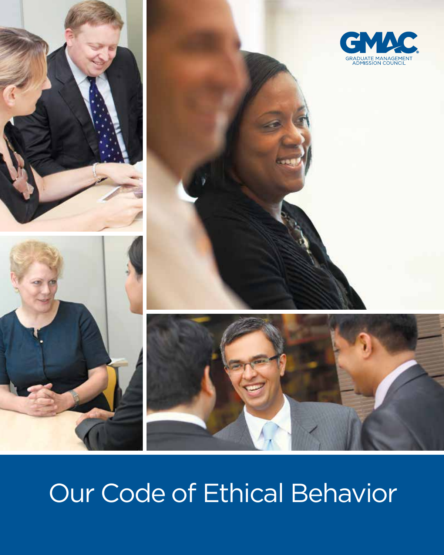





# Our Code of Ethical Behavior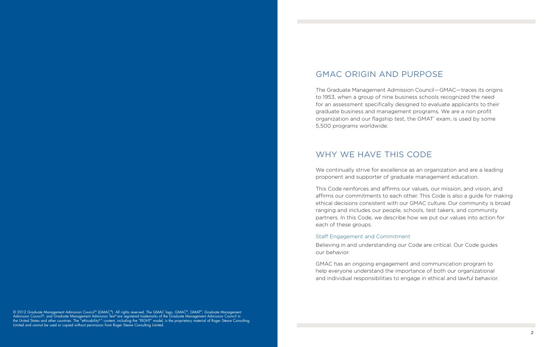## GMAC Origin and Purpose

The Graduate Management Admission Council—GMAC—traces its origins to 1953, when a group of nine business schools recognized the need for an assessment specifically designed to evaluate applicants to their graduate business and management programs. We are a non profit organization and our flagship test, the GMAT<sup>®</sup> exam, is used by some 5,500 programs worldwide.

## WHY WE HAVE THIS CODE

We continually strive for excellence as an organization and are a leading proponent and supporter of graduate management education.

This Code reinforces and affirms our values, our mission, and vision, and affirms our commitments to each other. This Code is also a guide for making ethical decisions consistent with our GMAC culture. Our community is broad ranging and includes our people, schools, test takers, and community partners. In this Code, we describe how we put our values into action for each of these groups.

© 2012 Graduate Management Admission Council® (GMAC®). All rights reserved. The GMAC logo, GMAC®, GMAT®, Graduate Management Admission Council®, and Graduate Management Admission Test®are registered trademarks of the Graduate Management Admission Council in the United States and other countries. The "ethicability® " content, including the "RIGHT" model, is the proprietary material of Roger Steare Consulting Limited and cannot be used or copied without permission from Roger Steare Consulting Limited.

### Staff Engagement and Commitment

Believing in and understanding our Code are critical. Our Code guides our behavior.

GMAC has an ongoing engagement and communication program to help everyone understand the importance of both our organizational and individual responsibilities to engage in ethical and lawful behavior.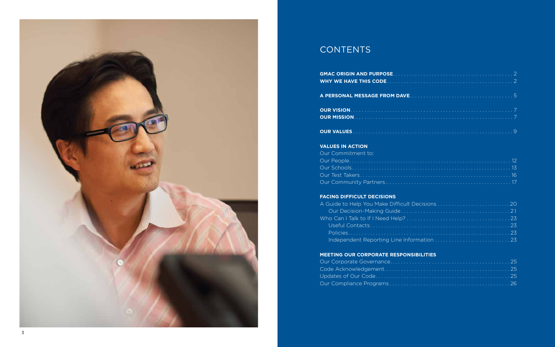

## **CONTENTS**

**GMAC Origin and PurposE**.. . . 2 **Why we have this CodE**. . 2

### **A personal message from DavE**.. . . 5

Our Commitment to: Our People............................................................ 12 Our Schools........................................................... 13 Our Test Takers.............................. Our Community Partners.....................

**Our Vision**. . . . . . . . . . . . . . . . . . . . . . . . . . . . . . . . . . . . . . 7 **Our Mission**.. . . . . . . . . . . . . . . . . . . . . . . . . . . . . . . . . . . . . . . 7

**Our Values**. 9

### **Values in Action**

### **Facing Difficult Decisions**

A Guide to Help You Make Difficult Decision Our Decision-Making Guide........... Who Can I Talk to If I Need Help?......... Useful Contacts. . 23 Policies.. . 23 Independent Reporting Line Information

### **Meeting our Corporate Responsibilities**

Our Corporate Governance.................. Code Acknowledgement.................. Updates of Our Code...................... Our Compliance Programs . . . . . . . . . . . . . . .

| ۰. |   | ٠ |  |  |
|----|---|---|--|--|
| ٠  | × |   |  |  |
|    | ł | I |  |  |
|    |   |   |  |  |
|    |   |   |  |  |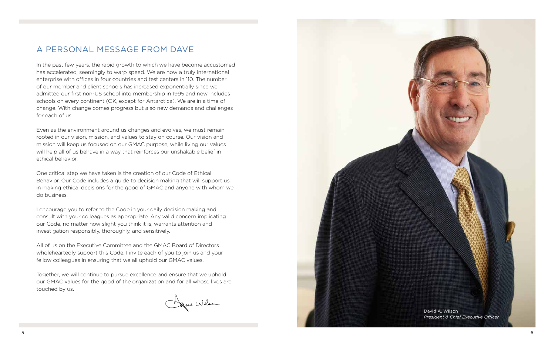## A personal message from Dave

In the past few years, the rapid growth to which we have become accustomed has accelerated, seemingly to warp speed. We are now a truly international enterprise with offices in four countries and test centers in 110. The number of our member and client schools has increased exponentially since we admitted our first non-US school into membership in 1995 and now includes schools on every continent (OK, except for Antarctica). We are in a time of change. With change comes progress but also new demands and challenges for each of us.

Even as the environment around us changes and evolves, we must remain rooted in our vision, mission, and values to stay on course. Our vision and mission will keep us focused on our GMAC purpose, while living our values will help all of us behave in a way that reinforces our unshakable belief in ethical behavior.



One critical step we have taken is the creation of our Code of Ethical Behavior. Our Code includes a guide to decision making that will support us in making ethical decisions for the good of GMAC and anyone with whom we do business.

I encourage you to refer to the Code in your daily decision making and consult with your colleagues as appropriate. Any valid concern implicating our Code, no matter how slight you think it is, warrants attention and investigation responsibly, thoroughly, and sensitively.

All of us on the Executive Committee and the GMAC Board of Directors wholeheartedly support this Code. I invite each of you to join us and your fellow colleagues in ensuring that we all uphold our GMAC values.

Together, we will continue to pursue excellence and ensure that we uphold our GMAC values for the good of the organization and for all whose lives are touched by us.

Dance Wilson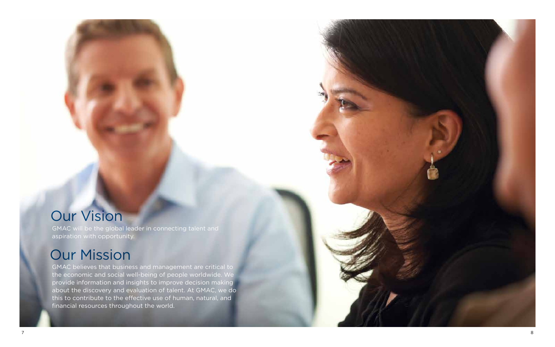

GMAC will be the global leader in connecting talent and aspiration with opportunity.

GMAC believes that business and management are critical to the economic and social well-being of people worldwide. We provide information and insights to improve decision making about the discovery and evaluation of talent. At GMAC, we do this to contribute to the effective use of human, natural, and financial resources throughout the world.

# Our Mission

# Our Vision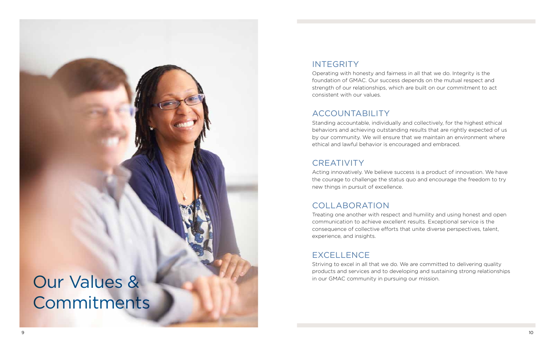Operating with honesty and fairness in all that we do. Integrity is the foundation of GMAC. Our success depends on the mutual respect and strength of our relationships, which are built on our commitment to act consistent with our values.

## **ACCOUNTABILITY**

Standing accountable, individually and collectively, for the highest ethical behaviors and achieving outstanding results that are rightly expected of us by our community. We will ensure that we maintain an environment where ethical and lawful behavior is encouraged and embraced.

## CREATIVITY



Acting innovatively. We believe success is a product of innovation. We have the courage to challenge the status quo and encourage the freedom to try new things in pursuit of excellence.

## Collaboration

Treating one another with respect and humility and using honest and open communication to achieve excellent results. Exceptional service is the consequence of collective efforts that unite diverse perspectives, talent, experience, and insights.

## **EXCELLENC**

Striving to excel in all that we do. We are committed to delivering quality products and services and to developing and sustaining strong relationships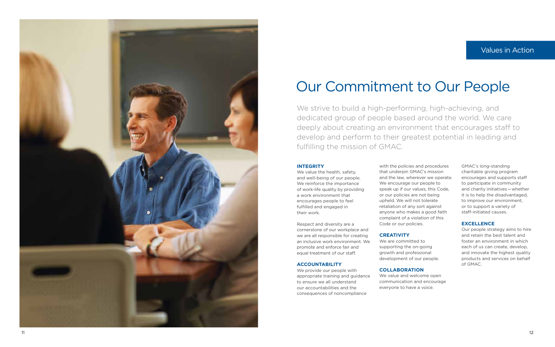We strive to build a high-performing, high-achieving, and dedicated group of people based around the world. We care deeply about creating an environment that encourages staff to develop and perform to their greatest potential in leading and fulfilling the mission of GMAC.



# Our Commitment to Our People

### **Integrity**

We value the health, safety, and well-being of our people. We reinforce the importance of work-life quality by providing a work environment that encourages people to feel fulfilled and engaged in

their work. Respect and diversity are a cornerstone of our workplace and we are all responsible for creating an inclusive work environment. We promote and enforce fair and equal treatment of our staff.

GMAC's long-standing charitable giving program encourages and supports staff to participate in community and charity initiatives—whether it is to help the disadvantaged, to improve our environment, or to support a variety of staff-initiated causes. **Values in Action**<br>
ieving, and<br>
vorld. We care<br>
courages staff to<br>
all in leading and<br>
in leading and<br>
GMAC's long-standing<br>
charitable giving program<br>
encourages and supports staff<br>
encourages and supports staff<br>
it is t

### **EXCELLENC**

### **Accountability**

We provide our people with appropriate training and guidance to ensure we all understand our accountabilities and the consequences of noncompliance

with the policies and procedures that underpin GMAC's mission and the law, wherever we operate. We encourage our people to speak up if our values, this Code, or our policies are not being upheld. We will not tolerate retaliation of any sort against anyone who makes a good faith complaint of a violation of this Code or our policies.

### **CREATIVITY**

We are committed to supporting the on-going growth and professional development of our people .

### **COLLABORATION**

We value and welcome open communication and encourage everyone to have a voice.

Our people strategy aims to hire and retain the best talent and foster an environment in which each of us can create, develop, and innovate the highest quality products and services on behalf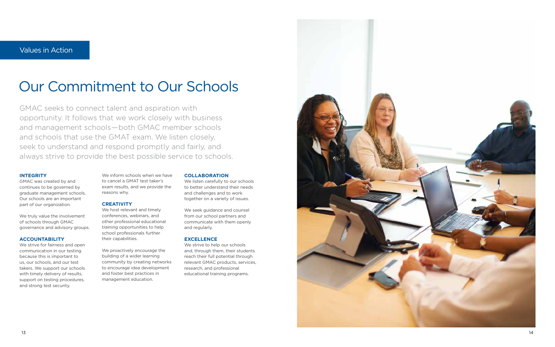GMAC seeks to connect talent and aspiration with opportunity. It follows that we work closely with business and management schools—both GMAC member schools and schools that use the GMAT exam. We listen closely, seek to understand and respond promptly and fairly, and always strive to provide the best possible service to schools.

# Our Commitment to Our Schools

### **Integrity**

GMAC was created by and continues to be governed by graduate management schools. Our schools are an important part of our organization.

We truly value the involvement of schools through GMAC governance and advisory groups.

### **Accountability**

We strive for fairness and open communication in our testing because this is important to us, our schools, and our test takers. We support our schools with timely delivery of results, support on testing procedures, and strong test security.

We inform schools when we have to cancel a GMAT test taker's exam results, and we provide the reasons why.

### **Creativity**

We host relevant and timely conferences, webinars, and other professional educational training opportunities to help school professionals further their capabilities.

We proactively encourage the building of a wider learning community by creating networks to encourage idea development and foster best practices in management education.

### **COLLABORATION**

We listen carefully to our schools to better understand their needs and challenges and to work together on a variety of issues.

We seek guidance and counsel from our school partners and communicate with them openly and regularly.

### **Excell e nce**

We strive to help our schools and, through them, their students reach their full potential through relevant GMAC products, services, research, and professional educational training programs.

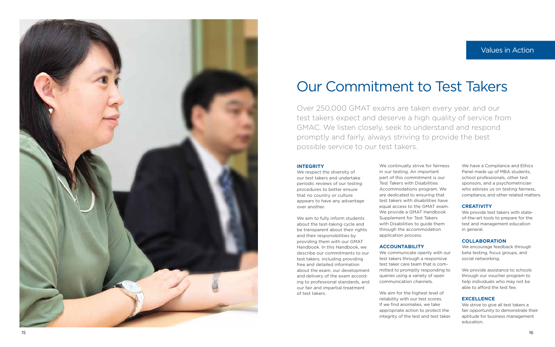Over 250,000 GMAT exams are taken every year, and our test takers expect and deserve a high quality of service from GMAC. We listen closely, seek to understand and respond promptly and fairly, always striving to provide the best possible service to our test takers.



# Our Commitment to Test Takers

### **Integrity**

We respect the diversity of our test takers and undertake periodic reviews of our testing procedures to better ensure that no country or culture appears to have any advantage over another.

We aim to fully inform students about the test-taking cycle and be transparent about their rights and their responsibilities by providing them with our GMAT Handbook. In this Handbook, we describe our commitments to our test takers, including providing free and detailed information about the exam, our development and delivery of the exam accord ing to professional standards, and our fair and impartial treatment of test takers.

We have a Compliance and Ethics Panel made up of MBA students, school professionals, other test sponsors, and a psychometrician who advises us on testing fairness, compliance, and other related matters. **Values in Action**<br> **COMAGE SET ACTS**<br>
TOMAGE SETVICE FORM<br>
TOMAGE SETVICE FORM<br>
We have a Compliance and Ethics<br>
Panel made up of MBA students,<br>
sponsors, and a psychometrician<br>
who advises us on testing fairness<br>
complia

We continually strive for fairness in our testing. An important part of this commitment is our Test Takers with Disabilities Accommodations program. We are dedicated to ensuring that test takers with disabilities have equal access to the GMAT exam. We provide a GMAT Handbook Supplement for Test Takers with Disabilities to guide them through the accommodation application process.

### **Accountability**

We communicate openly with our test takers through a responsive test taker care team that is com mitted to promptly responding to queries using a variety of open communication channels.

We aim for the highest level of reliability with our test scores. If we find anomalies, we take appropriate action to protect the integrity of the test and test taker.

### **Creativity**

We provide test takers with stateof-the-art tools to prepare for the test and management education in general.

### **COLLABORATION**

We encourage feedback through beta testing, focus groups, and social networking.

We provide assistance to schools through our voucher program to help individuals who may not be able to afford the test fee.

### **Excell e nce**

We strive to give all test takers a fair opportunity to demonstrate their aptitude for business management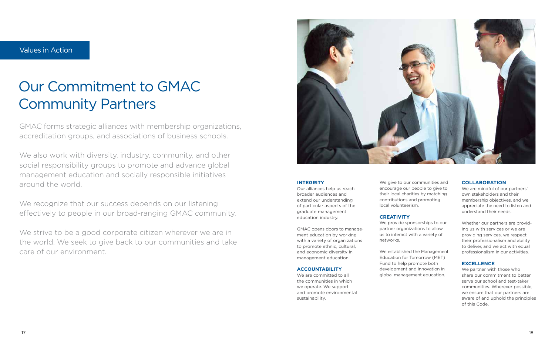GMAC forms strategic alliances with membership organizations, accreditation groups, and associations of business schools.

We also work with diversity, industry, community, and other social responsibility groups to promote and advance global management education and socially responsible initiatives around the world.

We recognize that our success depends on our listening effectively to people in our broad-ranging GMAC community.

We strive to be a good corporate citizen wherever we are in the world. We seek to give back to our communities and take care of our environment.



# Our Commitment to GMAC Community Partners

### **Integrity**

Our alliances help us reach broader audiences and extend our understanding of particular aspects of the graduate management education industry.

We are mindful of our partners' own stakeholders and their membership objectives, and we appreciate the need to listen and understand their needs.

GMAC opens doors to management education by working with a variety of organizations to promote ethnic, cultural, and economic diversity in management education.

### **Accountability**

We are committed to all the communities in which we operate. We support and promote environmental sustainability.

We give to our communities and encourage our people to give to their local charities by matching contributions and promoting local volunteerism.

### **Creativity**

We provide sponsorships to our partner organizations to allow us to interact with a variety of networks.

We established the Management Education for Tomorrow (MET) Fund to help promote both development and innovation in global management education.

### **Collaboration**

Whether our partners are providing us with services or we are providing services, we respect their professionalism and ability to deliver, and we act with equal professionalism in our activities.

### **Excellence**

We partner with those who share our commitment to better serve our school and test-taker communities. Wherever possible, we ensure that our partners are aware of and uphold the principles of this Code.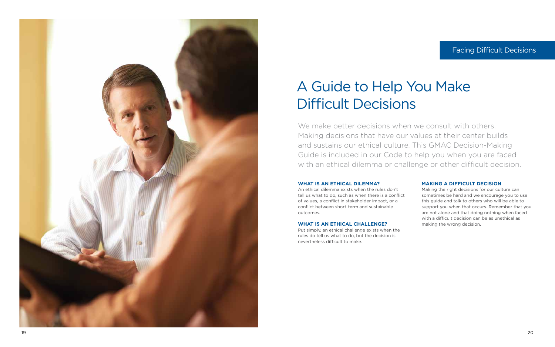

# A Guide to Help You Make Difficult Decisions

### **What is an ethical dilemma?**

An ethical dilemma exists when the rules don't tell us what to do, such as when there is a conflict of values, a conflict in stakeholder impact, or a conflict between short-term and sustainable outcomes.

### **What is an ethical challenge?**

Put simply, an ethical challenge exists when the rules do tell us what to do, but the decision is nevertheless difficult to make.

### **Making a Difficult Decision**

We make better decisions when we consult with others. Making decisions that have our values at their center builds and sustains our ethical culture. This GMAC Decision-Making Guide is included in our Code to help you when you are faced with an ethical dilemma or challenge or other difficult decision.

> Making the right decisions for our culture can sometimes be hard and we encourage you to use this guide and talk to others who will be able to support you when that occurs. Remember that you are not alone and that doing nothing when faced with a difficult decision can be as unethical as making the wrong decision.

## Facing Difficult Decisions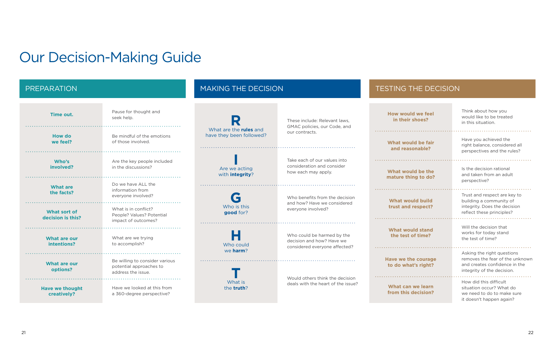# Our Decision-Making Guide

| Time out.                             | Pause for thought and<br>seek help.                                             |                                                           | These include: Relevant laws,<br>GMAC policies, our Code, and                            | <b>How would we feel</b><br>in their shoes?       | Think about how you<br>would like to be treated<br>in this situation.                                                   |
|---------------------------------------|---------------------------------------------------------------------------------|-----------------------------------------------------------|------------------------------------------------------------------------------------------|---------------------------------------------------|-------------------------------------------------------------------------------------------------------------------------|
| <b>How do</b><br>we feel?             | Be mindful of the emotions<br>of those involved.                                | What are the <b>rules</b> and<br>have they been followed? | our contracts.                                                                           | What would be fair<br>and reasonable?             | Have you achieved the<br>right balance, considered all<br>perspectives and the rules?                                   |
| Who's<br>involved?                    | Are the key people included<br>in the discussions?                              | Are we acting<br>with integrity?                          | Take each of our values into<br>consideration and consider<br>how each may apply.        | What would be the<br>mature thing to do?          | Is the decision rational<br>and taken from an adult<br>perspective?                                                     |
| <b>What are</b><br>the facts?         | Do we have ALL the<br>information from<br>everyone involved?                    |                                                           | Who benefits from the decision<br>and how? Have we considered                            | <b>What would build</b>                           | Trust and respect are key to<br>building a community of                                                                 |
| What sort of<br>decision is this?     | What is in conflict?<br>People? Values? Potential<br>impact of outcomes?        | Who is this<br>good for?                                  | everyone involved?                                                                       | trust and respect?                                | integrity. Does the decision<br>reflect these principles?                                                               |
| <b>What are our</b><br>intentions?    | What are we trying<br>to accomplish?                                            | Who could                                                 | Who could be harmed by the<br>decision and how? Have we<br>considered everyone affected? | <b>What would stand</b><br>the test of time?      | Will the decision that<br>works for today stand<br>the test of time?                                                    |
| What are our<br>options?              | Be willing to consider various<br>potential approaches to<br>address the issue. | we harm?                                                  |                                                                                          | <b>Have we the courage</b><br>to do what's right? | Asking the right questions<br>removes the fear of the unkr<br>and creates confidence in th<br>integrity of the decision |
| <b>Have we thought</b><br>creatively? | Have we looked at this from<br>a 360-degree perspective?                        | What is<br>the truth?                                     | Would others think the decision<br>deals with the heart of the issue?                    | What can we learn<br>from this decision?          | How did this difficult<br>situation occur? What do<br>we need to do to make sure<br>it doecn't hannen again?            |

## PREPARATION And Making THE DECISION MAKING THE DECISION And TESTING THE DECISION

building a community of integrity. Does the decision reflect these principles? 

Asking the right questions removes the fear of the unknown and creates confidence in the integrity of the decision.

How did this difficult situation occur? What do we need to do to make sure it doesn't happen again?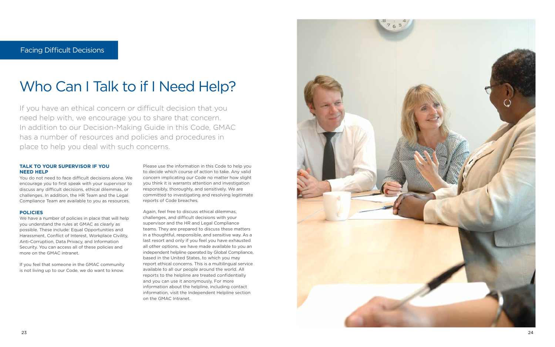# Who Can I Talk to if I Need Help?

You do not need to face difficult decisions alone. We encourage you to first speak with your supervisor to discuss any difficult decisions, ethical dilemmas, or challenges. In addition, the HR Team and the Legal Compliance Team are available to you as resources.

### **Policies**

If you have an ethical concern or difficult decision that you need help with, we encourage you to share that concern. In addition to our Decision-Making Guide in this Code, GMAC has a number of resources and policies and procedures in Facing Difficult Decisions<br> **Who Can I Talk to if I N**<br>
If you have an ethical concern or difficult d<br>
need help with, we encourage you to share<br>
In addition to our Decision-Making Guide is<br>
has a number of resources and p

### **TALK TO YOUR SUPERVISOR IF YOU NEED HELP**

We have a number of policies in place that will help you understand the rules at GMAC as clearly as possible. These include: Equal Opportunities and Harassment, Conflict of Interest, Workplace Civility, Anti-Corruption, Data Privacy, and Information Security. You can access all of these policies and more on the GMAC intranet.

If you feel that someone in the GMAC community is not living up to our Code, we do want to know.

Please use the information in this Code to help you to decide which course of action to take. Any valid concern implicating our Code no matter how slight you think it is warrants attention and investigation responsibly, thoroughly, and sensitively. We are committed to investigating and resolving legitimate reports of Code breaches.

Again, feel free to discuss ethical dilemmas, challenges, and difficult decisions with your supervisor and the HR and Legal Compliance teams. They are prepared to discuss these matters in a thoughtful, responsible, and sensitive way. As a last resort and only if you feel you have exhausted all other options, we have made available to you an independent helpline operated by Global Compliance, based in the United States, to which you may report ethical concerns. This is a multilingual service available to all our people around the world. All reports to the helpline are treated confidentially and you can use it anonymously. For more information about the helpline, including contact information, visit the Independent Helpline section on the GMAC Intranet.

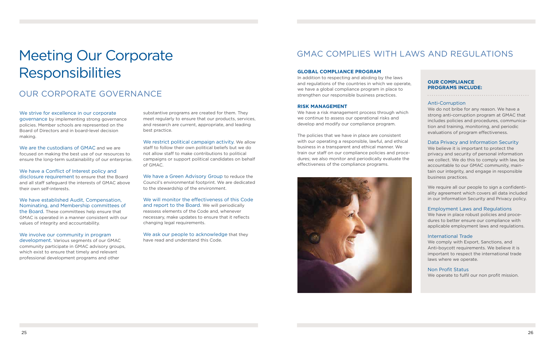## Our corporate Governance

We strive for excellence in our corporate governance by implementing strong governance policies. Member schools are represented on the Board of Directors and in board-level decision making.

We are the custodians of GMAC and we are focused on making the best use of our resources to ensure the long-term sustainability of our enterprise.

We have a Conflict of Interest policy and disclosure requirement to ensure that the Board and all staff safeguard the interests of GMAC above their own self-interests.

We involve our community in program development. Various segments of our GMAC community participate in GMAC advisory groups, which exist to ensure that timely and relevant professional development programs and other

# Meeting Our Corporate **Responsibilities**

We have established Audit, Compensation, Nominating, and Membership committees of the Board. These committees help ensure that GMAC is operated in a manner consistent with our values of integrity and accountability.

We restrict political campaign activity. We allow staff to follow their own political beliefs but we do not allow staff to make contributions to political campaigns or support political candidates on behalf of GMAC.

We ask our people to acknowledge that they have read and understand this Code.

# GMAC COMPLIES WITH LAWS AND REGULATIONS

substantive programs are created for them. They meet regularly to ensure that our products, services, and research are current, appropriate, and leading best practice.

We have a Green Advisory Group to reduce the Council's environmental footprint. We are dedicated to the stewardship of the environment.

> We have in place robust policies and procedures to better ensure our compliance with applicable employment laws and regulations.

We will monitor the effectiveness of this Code and report to the Board. We will periodically reassess elements of the Code and, whenever necessary, make updates to ensure that it reflects changing legal requirements.

### **Global Compliance Program**

In addition to respecting and abiding by the laws and regulations of the countries in which we operate, we have a global compliance program in place to strengthen our responsible business practices.

### **Risk Management**

We have a risk management process through which we continue to assess our operational risks and develop and modify our compliance program.

The policies that we have in place are consistent with our operating a responsible, lawful, and ethical business in a transparent and ethical manner. We train our staff on our compliance policies and procedures; we also monitor and periodically evaluate the effectiveness of the compliance programs.



Anti-Corruption We do not bribe for any reason. We have a strong anti-corruption program at GMAC that includes policies and procedures, communication and training, monitoring, and periodic evaluations of program effectiveness.

Data Privacy and Information Security We believe it is important to protect the privacy and security of personal information we collect. We do this to comply with law, be accountable to our GMAC community, maintain our integrity, and engage in responsible business practices.

We require all our people to sign a confidentiality agreement which covers all data included in our Information Security and Privacy policy.

### Employment Laws and Regulations

### International Trade

We comply with Export, Sanctions, and Anti-boycott requirements. We believe it is important to respect the international trade laws where we operate.

### Non Profit Status

We operate to fulfil our non profit mission.

### **Our compliance programs include:**